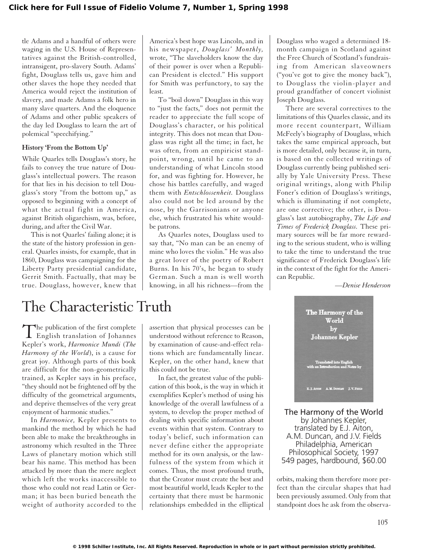tle Adams and a handful of others were waging in the U.S. House of Representatives against the British-controlled, intransigent, pro-slavery South. Adams' fight, Douglass tells us, gave him and other slaves the hope they needed that America would reject the institution of slavery, and made Adams a folk hero in many slave quarters. And the eloquence of Adams and other public speakers of the day led Douglass to learn the art of polemical "speechifying."

## **History 'From the Bottom Up'**

While Quarles tells Douglass's story, he fails to convey the true nature of Douglass's intellectual powers. The reason for that lies in his decision to tell Douglass's story "from the bottom up," as opposed to beginning with a concept of what the actual fight in America, against British oligarchism, was, before, during, and after the Civil War.

This is not Quarles' failing alone; it is the state of the history profession in general. Quarles insists, for example, that in 1860, Douglass was campaigning for the Liberty Party presidential candidate, Gerrit Smith. Factually, that may be true. Douglass, however, knew that

America's best hope was Lincoln, and in his newspaper, *Douglass' Monthly,* wrote, "The slaveholders know the day of their power is over when a Republican President is elected." His support for Smith was perfunctory, to say the least.

To "boil down" Douglass in this way to "just the facts," does not permit the reader to appreciate the full scope of Douglass's character, or his political integrity. This does not mean that Douglass was right all the time; in fact, he was often, from an empiricist standpoint, wrong, until he came to an understanding of what Lincoln stood for, and was fighting for. However, he chose his battles carefully, and waged them with *Entschlossenheit.* Douglass also could not be led around by the nose, by the Garrisonians or anyone else, which frustrated his white wouldbe patrons.

As Quarles notes, Douglass used to say that, "No man can be an enemy of mine who loves the violin." He was also a great lover of the poetry of Robert Burns. In his 70's, he began to study German. Such a man is well worth knowing, in all his richness—from the Douglass who waged a determined 18 month campaign in Scotland against the Free Church of Scotland's fundraising from American slaveowners ("you've got to give the money back"), to Douglass the violin-player and proud grandfather of concert violinist Joseph Douglass.

There are several correctives to the limitations of this Quarles classic, and its more recent counterpart, William McFeely's biography of Douglass, which takes the same empirical approach, but is more detailed, only because it, in turn, is based on the collected writings of Douglass currently being published serially by Yale University Press. These original writings, along with Philip Foner's edition of Douglass's writings, which is illuminating if not complete, are one corrective; the other, is Douglass's last autobiography, *The Life and Times of Frederick Douglass.* These primary sources will be far more rewarding to the serious student, who is willing to take the time to understand the true significance of Frederick Douglass's life in the context of the fight for the American Republic.

*—Denise Henderson*

## The Characteristic Truth

The publication of the first complete<br>English translation of Johannes Kepler's work, *Harmonice Mundi* (*The Harmony of the World*), is a cause for great joy. Although parts of this book are difficult for the non-geometrically trained, as Kepler says in his preface, "they should not be frightened off by the difficulty of the geometrical arguments, and deprive themselves of the very great enjoyment of harmonic studies."

In *Harmonice,* Kepler presents to mankind the method by which he had been able to make the breakthroughs in astronomy which resulted in the Three Laws of planetary motion which still bear his name. This method has been attacked by more than the mere neglect which left the works inaccessible to those who could not read Latin or German; it has been buried beneath the weight of authority accorded to the assertion that physical processes can be understood without reference to Reason, by examination of cause-and-effect relations which are fundamentally linear. Kepler, on the other hand, knew that this could not be true.

In fact, the greatest value of the publication of this book, is the way in which it exemplifies Kepler's method of using his knowledge of the overall lawfulness of a system, to develop the proper method of dealing with specific information about events within that system. Contrary to today's belief, such information can never define either the appropriate method for its own analysis, or the lawfulness of the system from which it comes. Thus, the most profound truth, that the Creator must create the best and most beautiful world, leads Kepler to the certainty that there must be harmonic relationships embedded in the elliptical



The Harmony of the World by Johannes Kepler, translated by E.J. Aiton, A.M. Duncan, and J.V. Fields Philadelphia, American Philosophical Society, 1997 549 pages, hardbound, \$60.00

orbits, making them therefore more perfect than the circular shapes that had been previously assumed. Only from that standpoint does he ask from the observa